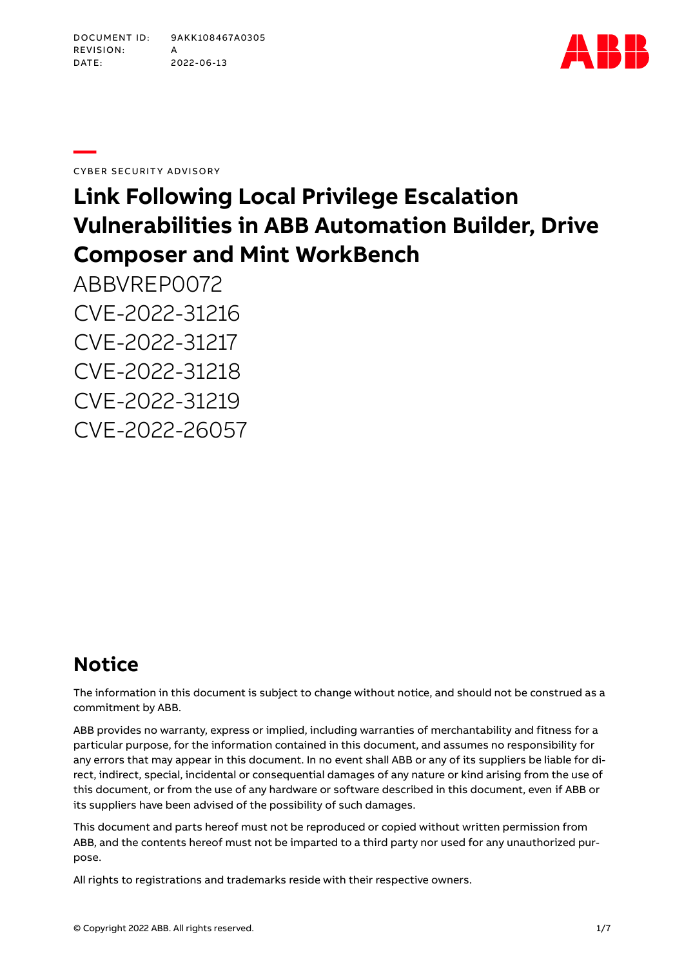

**—**CYBER SECURITY ADVISORY

# **Link Following Local Privilege Escalation Vulnerabilities in ABB Automation Builder, Drive Composer and Mint WorkBench**

ABBVREP0072 CVE-2022-31216 CVE-2022-31217 CVE-2022-31218 CVE-2022-31219 CVE-2022-26057

## **Notice**

The information in this document is subject to change without notice, and should not be construed as a commitment by ABB.

ABB provides no warranty, express or implied, including warranties of merchantability and fitness for a particular purpose, for the information contained in this document, and assumes no responsibility for any errors that may appear in this document. In no event shall ABB or any of its suppliers be liable for direct, indirect, special, incidental or consequential damages of any nature or kind arising from the use of this document, or from the use of any hardware or software described in this document, even if ABB or its suppliers have been advised of the possibility of such damages.

This document and parts hereof must not be reproduced or copied without written permission from ABB, and the contents hereof must not be imparted to a third party nor used for any unauthorized purpose.

All rights to registrations and trademarks reside with their respective owners.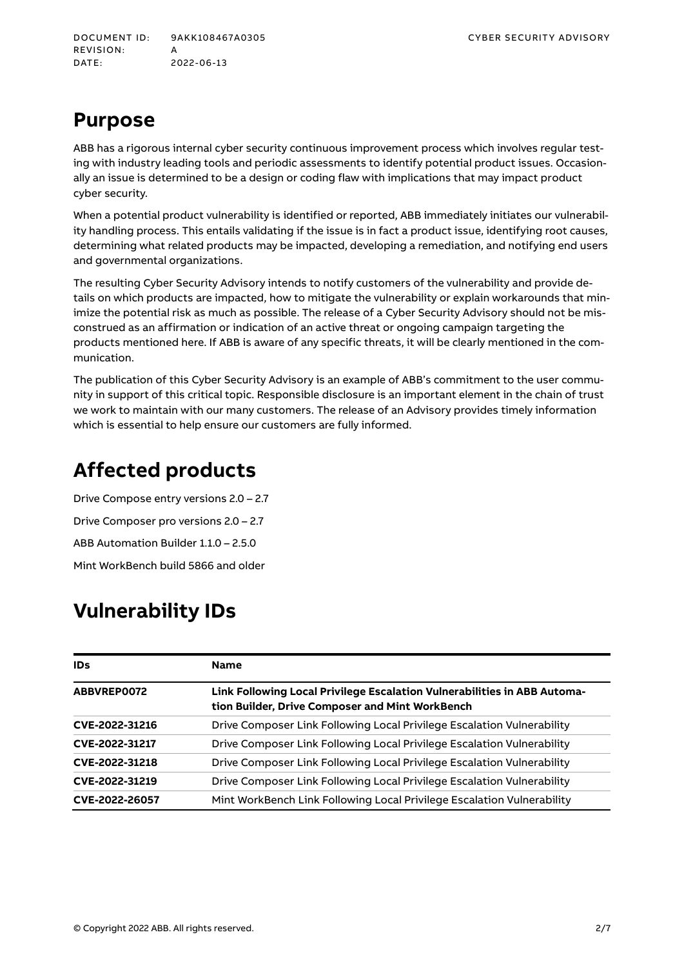## **Purpose**

ABB has a rigorous internal cyber security continuous improvement process which involves regular testing with industry leading tools and periodic assessments to identify potential product issues. Occasionally an issue is determined to be a design or coding flaw with implications that may impact product cyber security.

When a potential product vulnerability is identified or reported, ABB immediately initiates our vulnerability handling process. This entails validating if the issue is in fact a product issue, identifying root causes, determining what related products may be impacted, developing a remediation, and notifying end users and governmental organizations.

The resulting Cyber Security Advisory intends to notify customers of the vulnerability and provide details on which products are impacted, how to mitigate the vulnerability or explain workarounds that minimize the potential risk as much as possible. The release of a Cyber Security Advisory should not be misconstrued as an affirmation or indication of an active threat or ongoing campaign targeting the products mentioned here. If ABB is aware of any specific threats, it will be clearly mentioned in the communication.

The publication of this Cyber Security Advisory is an example of ABB's commitment to the user community in support of this critical topic. Responsible disclosure is an important element in the chain of trust we work to maintain with our many customers. The release of an Advisory provides timely information which is essential to help ensure our customers are fully informed.

## **Affected products**

Drive Compose entry versions 2.0 – 2.7 Drive Composer pro versions 2.0 – 2.7 ABB Automation Builder 1.1.0 – 2.5.0 Mint WorkBench build 5866 and older

## **Vulnerability IDs**

| <b>IDs</b>     | <b>Name</b>                                                                                                                 |
|----------------|-----------------------------------------------------------------------------------------------------------------------------|
| ABBVREP0072    | Link Following Local Privilege Escalation Vulnerabilities in ABB Automa-<br>tion Builder, Drive Composer and Mint WorkBench |
| CVE-2022-31216 | Drive Composer Link Following Local Privilege Escalation Vulnerability                                                      |
| CVE-2022-31217 | Drive Composer Link Following Local Privilege Escalation Vulnerability                                                      |
| CVE-2022-31218 | Drive Composer Link Following Local Privilege Escalation Vulnerability                                                      |
| CVE-2022-31219 | Drive Composer Link Following Local Privilege Escalation Vulnerability                                                      |
| CVE-2022-26057 | Mint WorkBench Link Following Local Privilege Escalation Vulnerability                                                      |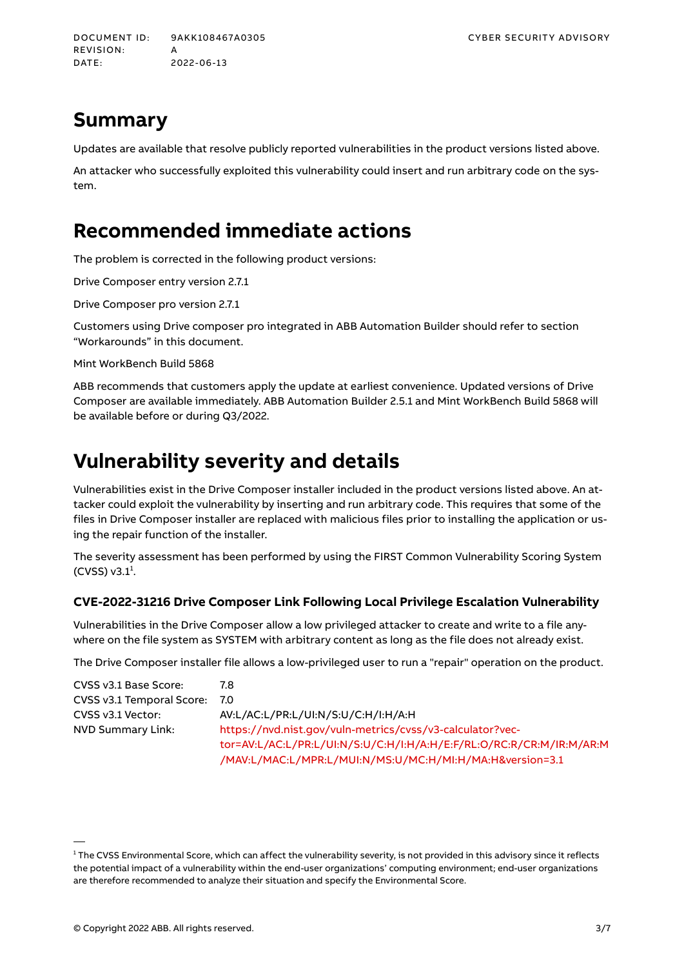## **Summary**

Updates are available that resolve publicly reported vulnerabilities in the product versions listed above.

An attacker who successfully exploited this vulnerability could insert and run arbitrary code on the system.

## **Recommended immediate actions**

The problem is corrected in the following product versions:

Drive Composer entry version 2.7.1

Drive Composer pro version 2.7.1

Customers using Drive composer pro integrated in ABB Automation Builder should refer to section "Workarounds" in this document.

Mint WorkBench Build 5868

ABB recommends that customers apply the update at earliest convenience. Updated versions of Drive Composer are available immediately. ABB Automation Builder 2.5.1 and Mint WorkBench Build 5868 will be available before or during Q3/2022.

## **Vulnerability severity and details**

Vulnerabilities exist in the Drive Composer installer included in the product versions listed above. An attacker could exploit the vulnerability by inserting and run arbitrary code. This requires that some of the files in Drive Composer installer are replaced with malicious files prior to installing the application or using the repair function of the installer.

The severity assessment has been performed by using the FIRST Common Vulnerability Scoring System  $(CVSS)$  v3.1<sup>1</sup>.

### **CVE-2022-31216 Drive Composer Link Following Local Privilege Escalation Vulnerability**

Vulnerabilities in the Drive Composer allow a low privileged attacker to create and write to a file anywhere on the file system as SYSTEM with arbitrary content as long as the file does not already exist.

The Drive Composer installer file allows a low-privileged user to run a "repair" operation on the product.

| CVSS v3.1 Base Score:     | 7.8                                                                  |
|---------------------------|----------------------------------------------------------------------|
| CVSS v3.1 Temporal Score: | 7.0                                                                  |
| CVSS v3.1 Vector:         | AV:L/AC:L/PR:L/UI:N/S:U/C:H/I:H/A:H                                  |
| NVD Summary Link:         | https://nvd.nist.gov/vuln-metrics/cvss/v3-calculator?vec-            |
|                           | tor=AV:L/AC:L/PR:L/UI:N/S:U/C:H/I:H/A:H/E:F/RL:O/RC:R/CR:M/IR:M/AR:M |
|                           | /MAV:L/MAC:L/MPR:L/MUI:N/MS:U/MC:H/MI:H/MA:H&version=3.1             |

<sup>&</sup>lt;sup>1</sup> The CVSS Environmental Score, which can affect the vulnerability severity, is not provided in this advisory since it reflects the potential impact of a vulnerability within the end-user organizations' computing environment; end-user organizations are therefore recommended to analyze their situation and specify the Environmental Score.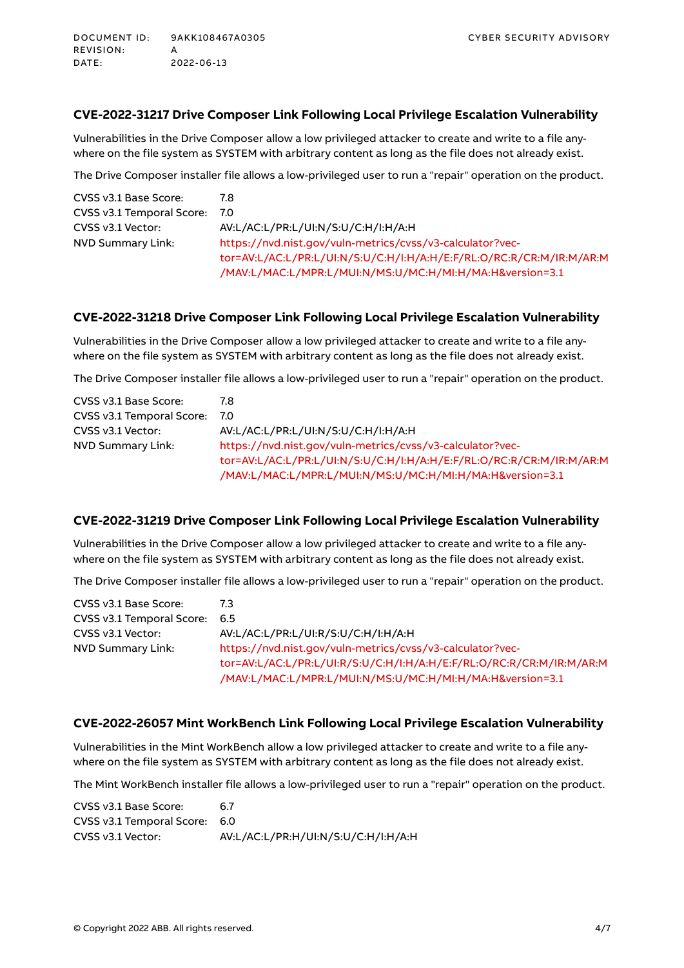### **CVE-2022-31217 Drive Composer Link Following Local Privilege Escalation Vulnerability**

Vulnerabilities in the Drive Composer allow a low privileged attacker to create and write to a file anywhere on the file system as SYSTEM with arbitrary content as long as the file does not already exist.

The Drive Composer installer file allows a low-privileged user to run a "repair" operation on the product.

| CVSS v3.1 Base Score:     | 7.8                                                                  |
|---------------------------|----------------------------------------------------------------------|
| CVSS v3.1 Temporal Score: | 7.0                                                                  |
| CVSS v3.1 Vector:         | AV:L/AC:L/PR:L/UI:N/S:U/C:H/I:H/A:H                                  |
| NVD Summary Link:         | https://nvd.nist.gov/vuln-metrics/cvss/v3-calculator?vec-            |
|                           | tor=AV:L/AC:L/PR:L/UI:N/S:U/C:H/I:H/A:H/E:F/RL:O/RC:R/CR:M/IR:M/AR:M |
|                           | /MAV:L/MAC:L/MPR:L/MUI:N/MS:U/MC:H/MI:H/MA:H&version=3.1             |

### **CVE-2022-31218 Drive Composer Link Following Local Privilege Escalation Vulnerability**

Vulnerabilities in the Drive Composer allow a low privileged attacker to create and write to a file anywhere on the file system as SYSTEM with arbitrary content as long as the file does not already exist.

The Drive Composer installer file allows a low-privileged user to run a "repair" operation on the product.

| CVSS v3.1 Base Score:     | 7.8                                                                  |
|---------------------------|----------------------------------------------------------------------|
| CVSS v3.1 Temporal Score: | 7.0                                                                  |
| CVSS v3.1 Vector:         | AV:L/AC:L/PR:L/UI:N/S:U/C:H/I:H/A:H                                  |
| NVD Summary Link:         | https://nvd.nist.gov/vuln-metrics/cvss/v3-calculator?vec-            |
|                           | tor=AV:L/AC:L/PR:L/UI:N/S:U/C:H/I:H/A:H/E:F/RL:O/RC:R/CR:M/IR:M/AR:M |
|                           | /MAV:L/MAC:L/MPR:L/MUI:N/MS:U/MC:H/MI:H/MA:H&version=3.1             |

### **CVE-2022-31219 Drive Composer Link Following Local Privilege Escalation Vulnerability**

Vulnerabilities in the Drive Composer allow a low privileged attacker to create and write to a file anywhere on the file system as SYSTEM with arbitrary content as long as the file does not already exist.

The Drive Composer installer file allows a low-privileged user to run a "repair" operation on the product.

| CVSS v3.1 Base Score:         | 7.3                                                                  |
|-------------------------------|----------------------------------------------------------------------|
| CVSS v3.1 Temporal Score: 6.5 |                                                                      |
| CVSS v3.1 Vector:             | AV:L/AC:L/PR:L/UI:R/S:U/C:H/I:H/A:H                                  |
| NVD Summary Link:             | https://nvd.nist.gov/vuln-metrics/cvss/v3-calculator?vec-            |
|                               | tor=AV:L/AC:L/PR:L/UI:R/S:U/C:H/I:H/A:H/E:F/RL:O/RC:R/CR:M/IR:M/AR:M |
|                               | /MAV:L/MAC:L/MPR:L/MUI:N/MS:U/MC:H/MI:H/MA:H&version=3.1             |

#### **CVE-2022-26057 Mint WorkBench Link Following Local Privilege Escalation Vulnerability**

Vulnerabilities in the Mint WorkBench allow a low privileged attacker to create and write to a file anywhere on the file system as SYSTEM with arbitrary content as long as the file does not already exist.

The Mint WorkBench installer file allows a low-privileged user to run a "repair" operation on the product.

CVSS v3.1 Base Score: 6.7 CVSS v3.1 Temporal Score: 6.0 CVSS v3.1 Vector: AV:L/AC:L/PR:H/UI:N/S:U/C:H/I:H/A:H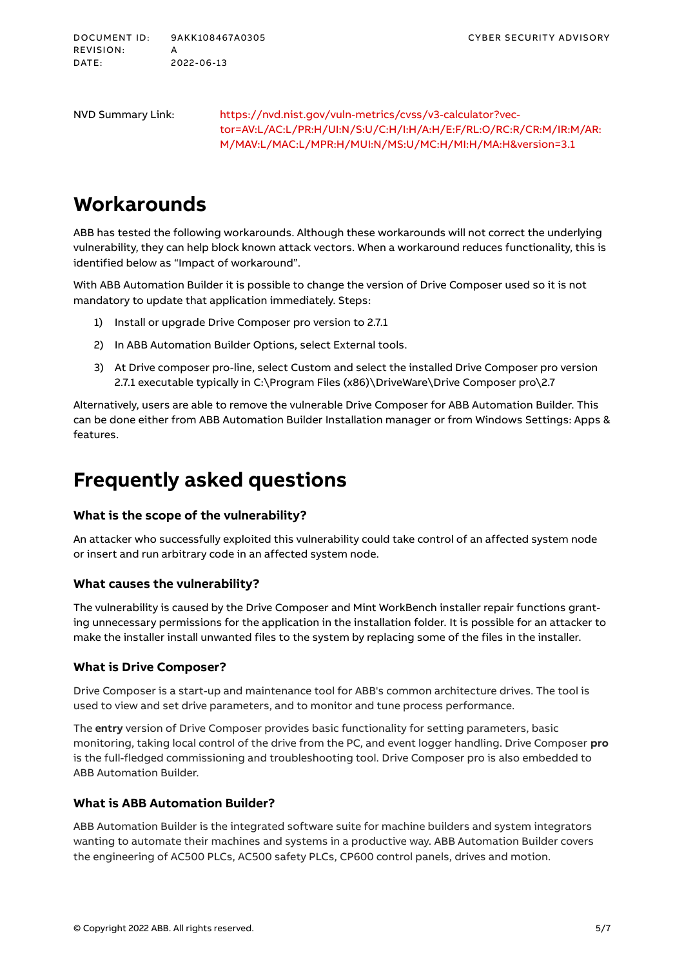NVD Summary Link: [https://nvd.nist.gov/vuln-metrics/cvss/v3-calculator?vec](https://nvd.nist.gov/vuln-metrics/cvss/v3-calculator?vector=AV:L/AC:L/PR:H/UI:N/S:U/C:H/I:H/A:H/E:F/RL:O/RC:R/CR:M/IR:M/AR:M/MAV:L/MAC:L/MPR:H/MUI:N/MS:U/MC:H/MI:H/MA:H&version=3.1)[tor=AV:L/AC:L/PR:H/UI:N/S:U/C:H/I:H/A:H/E:F/RL:O/RC:R/CR:M/IR:M/AR:](https://nvd.nist.gov/vuln-metrics/cvss/v3-calculator?vector=AV:L/AC:L/PR:H/UI:N/S:U/C:H/I:H/A:H/E:F/RL:O/RC:R/CR:M/IR:M/AR:M/MAV:L/MAC:L/MPR:H/MUI:N/MS:U/MC:H/MI:H/MA:H&version=3.1) [M/MAV:L/MAC:L/MPR:H/MUI:N/MS:U/MC:H/MI:H/MA:H&version=3.1](https://nvd.nist.gov/vuln-metrics/cvss/v3-calculator?vector=AV:L/AC:L/PR:H/UI:N/S:U/C:H/I:H/A:H/E:F/RL:O/RC:R/CR:M/IR:M/AR:M/MAV:L/MAC:L/MPR:H/MUI:N/MS:U/MC:H/MI:H/MA:H&version=3.1)

## **Workarounds**

ABB has tested the following workarounds. Although these workarounds will not correct the underlying vulnerability, they can help block known attack vectors. When a workaround reduces functionality, this is identified below as "Impact of workaround".

With ABB Automation Builder it is possible to change the version of Drive Composer used so it is not mandatory to update that application immediately. Steps:

- 1) Install or upgrade Drive Composer pro version to 2.7.1
- 2) In ABB Automation Builder Options, select External tools.
- 3) At Drive composer pro-line, select Custom and select the installed Drive Composer pro version 2.7.1 executable typically in C:\Program Files (x86)\DriveWare\Drive Composer pro\2.7

Alternatively, users are able to remove the vulnerable Drive Composer for ABB Automation Builder. This can be done either from ABB Automation Builder Installation manager or from Windows Settings: Apps & features.

### **Frequently asked questions**

### **What is the scope of the vulnerability?**

An attacker who successfully exploited this vulnerability could take control of an affected system node or insert and run arbitrary code in an affected system node.

### **What causes the vulnerability?**

The vulnerability is caused by the Drive Composer and Mint WorkBench installer repair functions granting unnecessary permissions for the application in the installation folder. It is possible for an attacker to make the installer install unwanted files to the system by replacing some of the files in the installer.

#### **What is Drive Composer?**

Drive Composer is a start-up and maintenance tool for ABB's common architecture drives. The tool is used to view and set drive parameters, and to monitor and tune process performance.

The **entry** version of Drive Composer provides basic functionality for setting parameters, basic monitoring, taking local control of the drive from the PC, and event logger handling. Drive Composer **pro** is the full-fledged commissioning and troubleshooting tool. Drive Composer pro is also embedded to ABB Automation Builder.

### **What is ABB Automation Builder?**

ABB Automation Builder is the integrated software suite for machine builders and system integrators wanting to automate their machines and systems in a productive way. ABB Automation Builder covers the engineering of AC500 PLCs, AC500 safety PLCs, CP600 control panels, drives and motion.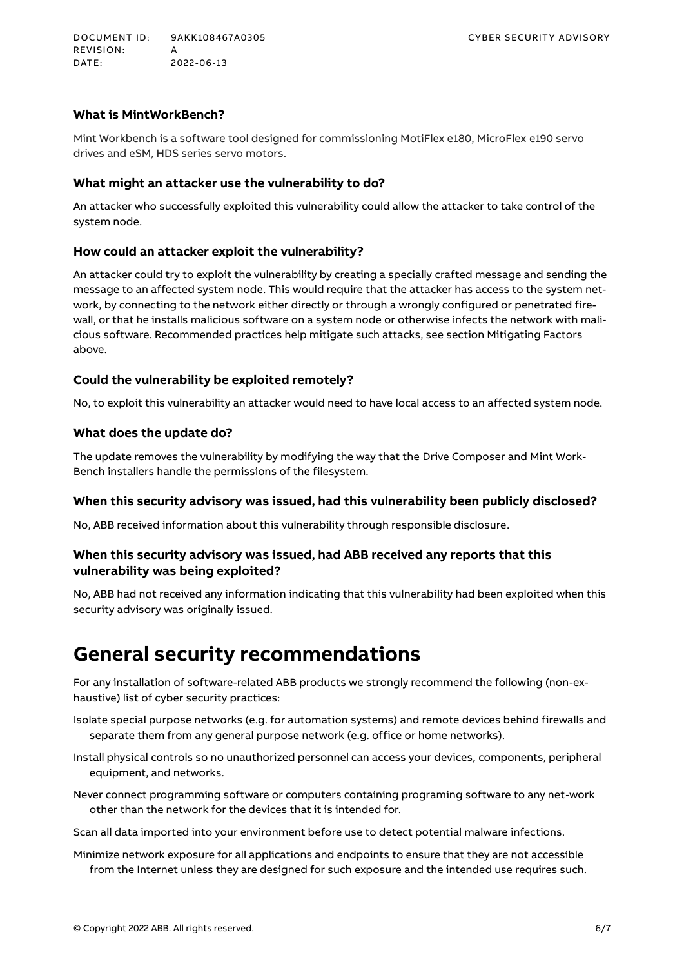### **What is MintWorkBench?**

Mint Workbench is a software tool designed for commissioning MotiFlex e180, MicroFlex e190 servo drives and eSM, HDS series servo motors.

#### **What might an attacker use the vulnerability to do?**

An attacker who successfully exploited this vulnerability could allow the attacker to take control of the system node.

#### **How could an attacker exploit the vulnerability?**

An attacker could try to exploit the vulnerability by creating a specially crafted message and sending the message to an affected system node. This would require that the attacker has access to the system network, by connecting to the network either directly or through a wrongly configured or penetrated firewall, or that he installs malicious software on a system node or otherwise infects the network with malicious software. Recommended practices help mitigate such attacks, see section Mitigating Factors above.

#### **Could the vulnerability be exploited remotely?**

No, to exploit this vulnerability an attacker would need to have local access to an affected system node.

### **What does the update do?**

The update removes the vulnerability by modifying the way that the Drive Composer and Mint Work-Bench installers handle the permissions of the filesystem.

#### **When this security advisory was issued, had this vulnerability been publicly disclosed?**

No, ABB received information about this vulnerability through responsible disclosure.

### **When this security advisory was issued, had ABB received any reports that this vulnerability was being exploited?**

No, ABB had not received any information indicating that this vulnerability had been exploited when this security advisory was originally issued.

### **General security recommendations**

For any installation of software-related ABB products we strongly recommend the following (non-exhaustive) list of cyber security practices:

Isolate special purpose networks (e.g. for automation systems) and remote devices behind firewalls and separate them from any general purpose network (e.g. office or home networks).

Install physical controls so no unauthorized personnel can access your devices, components, peripheral equipment, and networks.

Never connect programming software or computers containing programing software to any net-work other than the network for the devices that it is intended for.

Scan all data imported into your environment before use to detect potential malware infections.

Minimize network exposure for all applications and endpoints to ensure that they are not accessible from the Internet unless they are designed for such exposure and the intended use requires such.